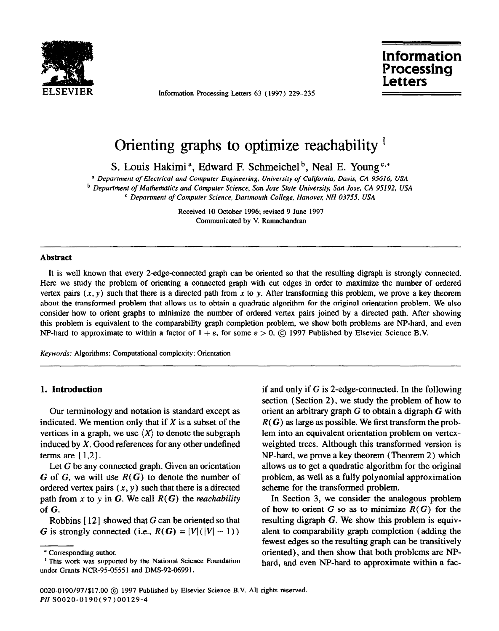

Information Processing Letters 63 (1997) 229-235

**Information** Processing etters

# Orienting graphs to optimize reachability <sup>1</sup>

S. Louis Hakimi<sup>a</sup>, Edward F. Schmeichel<sup>b</sup>, Neal E. Young<sup>c,\*</sup>

a *Department of Electrical and Computer Engineering, University of California, Davis, CA 95616, USA*  <sup>b</sup> Department of Mathematics and Computer Science, San Jose State University, San Jose, CA 95192, USA *c Department of Computer Science, Dartmouth College, Hanover: NH 03755, USA* 

> Received 10 October 1996; revised 9 June 1997 Communicated by V. Ramachandran

## **Abstract**

It is well known that every 2-edge-connected graph can be oriented so that the resulting digraph is strongly connected. Here we study the problem of orienting a connected graph with cut edges in order to maximize the number of ordered vertex pairs  $(x, y)$  such that there is a directed path from x to y. After transforming this problem, we prove a key theorem about the transformed problem that allows us to obtain a quadratic algorithm for the original orientation problem. We also consider how to orient graphs to minimize the number of ordered vertex pairs joined by a directed path. After showing this problem is equivalent to the comparability graph completion problem, we show both problems are NP-hard, and even NP-hard to approximate to within a factor of  $1 + \varepsilon$ , for some  $\varepsilon > 0$ . © 1997 Published by Elsevier Science B.V.

*Keywords:* Algorithms; Computational complexity; Orientation

## **1. Introduction**

Our terminology and notation is standard except as indicated. We mention only that if  $X$  is a subset of the vertices in a graph, we use  $(X)$  to denote the subgraph induced by  $X$ . Good references for any other undefined terms are  $[1,2]$ .

Let G be any connected graph. Given an orientation G of G, we will use  $R(G)$  to denote the number of ordered vertex pairs  $(x, y)$  such that there is a directed path from x to y in G. We call  $R(G)$  the *reachability* of G.

Robbins  $[12]$  showed that G can be oriented so that G is strongly connected (i.e.,  $R(G) = |V|(|V| - 1)$ )

if and only if G is 2-edge-connected. In the following section (Section 2), we study the problem of how to orient an arbitrary graph  $G$  to obtain a digraph  $G$  with  $R(G)$  as large as possible. We first transform the problem into an equivalent orientation problem on vertexweighted trees. Although this transformed version is NP-hard, we prove a key theorem (Theorem 2) which allows us to get a quadratic algorithm for the original problem, as well as a fully polynomial approximation scheme for the transformed problem.

In Section 3, we consider the analogous problem of how to orient G so as to minimize  $R(G)$  for the resulting digraph G. We show this problem is equivalent to comparability graph completion (adding the fewest edges so the resulting graph can be transitively oriented), and then show that both problems are NPhard, and even NP-hard to approximate within a fac-

<sup>\*</sup> Corresponding author.

<sup>&</sup>lt;sup>1</sup> This work was supported by the National Science Foundation under Grants NCR-95-05551 and DMS-92-06991.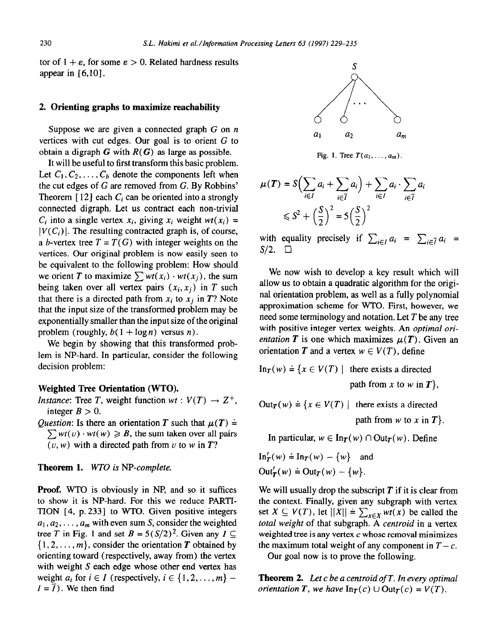tor of  $1 + \varepsilon$ , for some  $\varepsilon > 0$ . Related hardness results appear in  $[6,10]$ .

## 2. **Orienting graphs to maximize reachability**

Suppose we are given a connected graph G on *n*  vertices with cut edges. Our goal is to orient  $G$  to obtain a digraph  $G$  with  $R(G)$  as large as possible.

It will be useful to first transform this basic problem. Let  $C_1, C_2, \ldots, C_b$  denote the components left when the cut edges of G are removed from G. By Robbins' Theorem  $[12]$  each  $C_i$  can be oriented into a strongly connected digraph. Let us contract each non-trivial  $C_i$  into a single vertex  $x_i$ , giving  $x_i$  weight  $wt(x_i)$  =  $|V(C_i)|$ . The resulting contracted graph is, of course, a *b*-vertex tree  $T = T(G)$  with integer weights on the vertices. Our original problem is now easily seen to be equivalent to the following problem: How should we orient *T* to maximize  $\sum wt(x_i) \cdot wt(x_j)$ , the sum being taken over all vertex pairs  $(x_i, x_i)$  in *T* such that there is a directed path from  $x_i$  to  $x_j$  in  $T$ ? Note that the input size of the transformed problem may be exponentially smaller than the input size of the original problem (roughly,  $b(1 + \log n)$  versus n).

We begin by showing that this transformed problem is NP-hard. In particular, consider the following decision problem:

## **Weighted Tree Orientation (WTO).**

- *Instance:* Tree *T*, weight function  $wt : V(T) \rightarrow Z^{+}$ , integer  $B > 0$ .
- *Question:* Is there an orientation *T* such that  $\mu(T) =$  $\sum wt(v) \cdot wt(w) \geq B$ , the sum taken over all pairs  $(v, w)$  with a directed path from v to w in  $T$ ?

#### **Theorem 1.** *WTO is W-complete.*

**Proof. WTO** is obviously in NP, and so it suffices to show it is NP-hard. For this we reduce PARTI-TION  $[4, p. 233]$  to WTO. Given positive integers  $a_1, a_2, \ldots, a_m$  with even sum S, consider the weighted tree *T* in Fig. 1 and set  $B = 5(S/2)^2$ . Given any  $I \subseteq$  $\{1, 2, \ldots, m\}$ , consider the orientation *T* obtained by orienting toward (respectively, away from) the vertex with weight S each edge whose other end vertex has weight  $a_i$  for  $i \in I$  (respectively,  $i \in \{1, 2, \ldots, m\}$  –  $I = \overline{I}$ ). We then find



**Fig. 1. Tree**  $T(a_1, \ldots, a_m)$ .

$$
\mu(T) = S\left(\sum_{i \in I} a_i + \sum_{i \in \overline{I}} a_i\right) + \sum_{i \in I} a_i \cdot \sum_{i \in \overline{I}} a_i
$$
  
\$\leq S^2 + \left(\frac{S}{2}\right)^2 = 5\left(\frac{S}{2}\right)^2\$

with equality precisely if  $\sum_{i \in I} a_i = \sum_{i \in \overline{I}} a_i$  $S/2. \square$ 

We now wish to develop a key result which will allow us to obtain a quadratic algorithm for the original orientation problem, as well as a fully polynomial approximation scheme for WTO. First, however, we need some terminology and notation. Let *T* be any tree with positive integer vertex weights. An *optimal orientation* T is one which maximizes  $\mu(T)$ . Given an orientation *T* and a vertex  $w \in V(T)$ , define

$$
\text{In}_{T}(w) \doteq \{x \in V(T) \mid \text{ there exists a directed} \}
$$
\n
$$
\text{path from } x \text{ to } w \text{ in } T\},
$$

 $Out_{T}(w) \doteq {x \in V(T) \mid \text{ there exists a directed}}$ 

path from  $w$  to  $x$  in  $T$ .

In particular,  $w \in \text{In}_{\mathcal{T}}(w) \cap \text{Out}_{\mathcal{T}}(w)$ . Define

$$
\text{In}'_{\mathcal{T}}(w) \doteq \text{In}_{\mathcal{T}}(w) - \{w\} \quad \text{and}
$$
\n
$$
\text{Out}'_{\mathcal{T}}(w) \doteq \text{Out}_{\mathcal{T}}(w) - \{w\}.
$$

We will usually drop the subscript *T* if it is clear from the context. Finally, given any subgraph with vertex set  $X \subseteq V(T)$ , let  $||X|| = \sum_{x \in X} wt(x)$  be called the *total weight* of that subgraph. A *centroid* in a vertex weighted tree is any vertex  $c$  whose removal minimizes the maximum total weight of any component in  $T-c$ .

Our goal now is to prove the following.

**Theorem 2.** *Let c be a centroid of T. In every optimal orientation T, we have*  $\text{In}_{T}(c) \cup \text{Out}_{T}(c) = V(T)$ .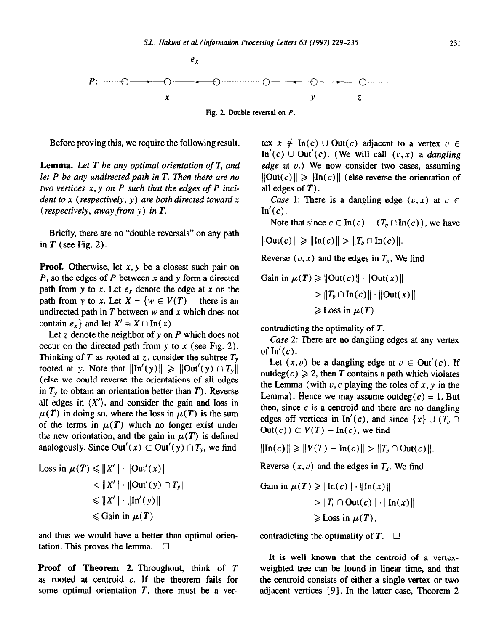

**Fig. 2. Double reversal on** *P.* 

Before proving this, we require the following result.

**Lemma.** *Let T be any optimal orientation of T, and let P be any undirected path in T. Then there are no two vertices x, y on P such that the edges of P incident to x (respectively, y) are both directed toward x (respectively, away from y) in T.* 

Briefly, there are no "double reversals" on any path in  $T$  (see Fig. 2).

**Proof.** Otherwise, let  $x, y$  be a closest such pair on *P, so* the edges of *P* between x and y form a directed path from y to x. Let  $e_x$  denote the edge at x on the path from y to x. Let  $X = \{w \in V(T) \mid \text{ there is an }$ undirected path in  $T$  between  $w$  and  $x$  which does not contain  $e_x$  and let  $X' = X \cap \ln(x)$ .

Let z denote the neighbor of y on *P* which does not occur on the directed path from  $y$  to  $x$  (see Fig. 2). Thinking of *T* as rooted at *z*, consider the subtree  $T_y$ rooted at y. Note that  $\|\text{In}'(y)\| \geq \|$ Out'(y)  $\cap T_y\|$ (else we could reverse the orientations of all edges in  $T<sub>y</sub>$  to obtain an orientation better than  $T$ ). Reverse all edges in  $\langle X' \rangle$ , and consider the gain and loss in  $\mu(T)$  in doing so, where the loss in  $\mu(T)$  is the sum of the terms in  $\mu(T)$  which no longer exist under the new orientation, and the gain in  $\mu(T)$  is defined analogously. Since Out'(x)  $\subset$  Out'(y)  $\cap T_y$ , we find

Loss in 
$$
\mu(T) \leq ||X'|| \cdot ||\text{Out}'(x)||
$$
  
\n $<||X'|| \cdot ||\text{Out}'(y) \cap T_y||$   
\n $<||X'|| \cdot ||\text{In}'(y)||$   
\n $<||X|| \cdot ||\text{In}'(y)||$   
\n $<||X|| \cdot ||\text{In}'(y)||$ 

and thus we would have a better than optimal orientation. This proves the lemma.  $\Box$ 

**Proof of Theorem 2.** Throughout, think of *T as* rooted at centroid c. If the theorem fails for some optimal orientation *T,* there must be a vertex  $x \notin \text{In}(c) \cup \text{Out}(c)$  adjacent to a vertex  $v \in$ In'(c)  $\cup$  Out'(c). (We will call  $(v, x)$  a *dangling edge* at v.) We now consider two cases, assuming  $\|\text{Out}(c)\| \geq \|\text{In}(c)\|$  (else reverse the orientation of all edges of  $T$ ).

*Case* 1: There is a dangling edge  $(v, x)$  at  $v \in$  $In'(c)$ .

Note that since  $c \in \text{In}(c) - (T_v \cap \text{In}(c))$ , we have

 $\|\text{Out}(c)\| \geq \|\text{In}(c)\| > \|T_{v} \cap \text{In}(c)\|.$ 

Reverse  $(v, x)$  and the edges in  $T<sub>x</sub>$ . We find

Gain in 
$$
\mu(T) \ge ||\text{Out}(c)|| \cdot ||\text{Out}(x)||
$$
  
>  $||T_v \cap \text{In}(c)|| \cdot ||\text{Out}(x)||$   
 $\ge \text{Loss in } \mu(T)$ 

contradicting the optimality of *T.* 

*Case* **2:** There are no dangling edges at any vertex of  $In'(c)$ .

Let  $(x, v)$  be a dangling edge at  $v \in Out'(c)$ . If outdeg( $c$ )  $\geq$  2, then *T* contains a path which violates the Lemma (with  $v, c$  playing the roles of  $x, y$  in the Lemma). Hence we may assume outdeg( $c$ ) = 1. But then, since  $c$  is a centroid and there are no dangling edges off vertices in In'(c), and since  $\{x\} \cup (T_v \cap$  $Out(c)) \subset V(T) - In(c)$ , we find

 $\|\text{In}(c)\| \geq \|V(T) - \text{In}(c)\| > \|T_v \cap \text{Out}(c)\|.$ 

Reverse  $(x, v)$  and the edges in  $T_x$ . We find

Gain in  $\mu(T) \geq ||\text{In}(c)|| \cdot ||\text{In}(x)||$  $>$   $||T_v \cap Out(c)|| \cdot ||In(x)||$  $\geq$  Loss in  $\mu(T)$ ,

contradicting the optimality of  $T$ .  $\Box$ 

It is well known that the centroid of a vertexweighted tree can be found in linear time, and that the centroid consists of either a single vertex or two adjacent vertices [9]. In the latter case, Theorem 2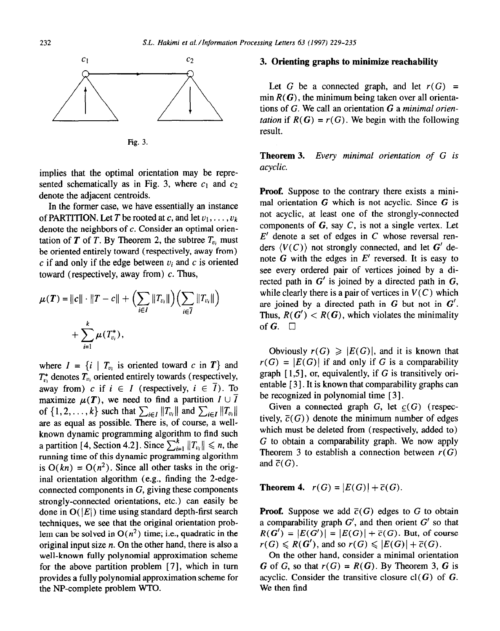

Fig. 3

implies that the optimal orientation may be represented schematically as in Fig. 3, where  $c_1$  and  $c_2$ denote the adjacent centroids.

In the former case, we have essentially an instance of PARTITION. Let *T* be rooted at *c*, and let  $v_1, \ldots, v_k$ denote the neighbors of c. Consider an optimal orientation of *T* of *T*. By Theorem 2, the subtree  $T_{v_i}$  must be oriented entirely toward (respectively, away from) c if and only if the edge between  $v_i$  and c is oriented toward (respectively, away from)  $c$ . Thus,

$$
\mu(T) = ||c|| \cdot ||T - c|| + \Big( \sum_{i \in I} ||T_{v_i}|| \Big) \Big( \sum_{i \in \overline{I}} ||T_{v_i}|| \Big) + \sum_{i=1}^k \mu(T_{v_i}^*),
$$

where  $I = \{i \mid T_{v_i} \text{ is oriented toward } c \text{ in } T\}$  and  $T_{v_i}^*$  denotes  $T_{v_i}$  oriented entirely towards (respectively, away from) c if  $i \in I$  (respectively,  $i \in \overline{I}$ ). To maximize  $\mu(T)$ , we need to find a partition  $I \cup \overline{I}$ of  $\{1,2,\ldots,k\}$  such that  $\sum_{i\in I} ||T_{v_i}||$  and  $\sum_{i\in I} ||T_{v_i}||$ are as equal as possible. There is, of course, a wellknown dynamic programming algorithm to find such a partition [4, Section 4.2]. Since  $\sum_{i=1}^{k} ||T_{v_i}|| \le n$ , the running time of this dynamic programming algorithm is  $O(kn) = O(n^2)$ . Since all other tasks in the original orientation algorithm (e.g., finding the 2-edgeconnected components in  $G$ , giving these components strongly-connected orientations, etc.) can easily be done in  $O(|E|)$  time using standard depth-first search techniques, we see that the original orientation problem can be solved in  $O(n^2)$  time; i.e., quadratic in the original input size  $n$ . On the other hand, there is also a well-known fully polynomial approximation scheme for the above partition problem [7], which in turn provides a fully polynomial approximation scheme for the NP-complete problem WTO.

## 3. **Orienting graphs to minimize reachability**

Let G be a connected graph, and let  $r(G)$  = min  $R(G)$ , the minimum being taken over all orientations of G. We call an orientation G a *minimal orientation* if  $R(G) = r(G)$ . We begin with the following result.

**Theorem 3.** *Every minimal orientation of G is acyclic.* 

**Proof.** Suppose to the contrary there exists a minimal orientation  $G$  which is not acyclic. Since  $G$  is not acyclic, at least one of the strongly-connected components of  $G$ , say  $C$ , is not a single vertex. Let  $E'$  denote a set of edges in  $C$  whose reversal renders  $\langle V(C) \rangle$  not strongly connected, and let G' denote  $\tilde{G}$  with the edges in  $E'$  reversed. It is easy to see every ordered pair of vertices joined by a directed path in  $G'$  is joined by a directed path in  $G$ , while clearly there is a pair of vertices in  $V(C)$  which are joined by a directed path in G but not in  $G'$ . Thus,  $R(G') < R(G)$ , which violates the minimality of  $G$ .  $\Box$ 

Obviously  $r(G) \geqslant |E(G)|$ , and it is known that  $r(G) = |E(G)|$  if and only if G is a comparability graph  $[1,5]$ , or, equivalently, if G is transitively orientable [3]. It is known that comparability graphs can be recognized in polynomial time [3].

Given a connected graph  $G$ , let  $c(G)$  (respectively,  $\overline{c}(G)$ ) denote the minimum number of edges which must be deleted from (respectively, added to) G to obtain a comparability graph. We now apply Theorem 3 to establish a connection between  $r(G)$ and  $\bar{c}(G)$ .

**Theorem 4.**  $r(G) = |E(G)| + \bar{c}(G)$ .

**Proof.** Suppose we add  $\overline{c}(G)$  edges to G to obtain a comparability graph  $G'$ , and then orient  $G'$  so that  $R(G') = |E(G')| = |E(G)| + \overline{c}(G)$ . But, of course  $r(G) \le R(G')$ , and so  $r(G) \le |E(G)| + \overline{c}(G)$ .

On the other hand, consider a minimal orientation G of G, so that  $r(G) = R(G)$ . By Theorem 3, G is acyclic. Consider the transitive closure  $cl(G)$  of G. We then find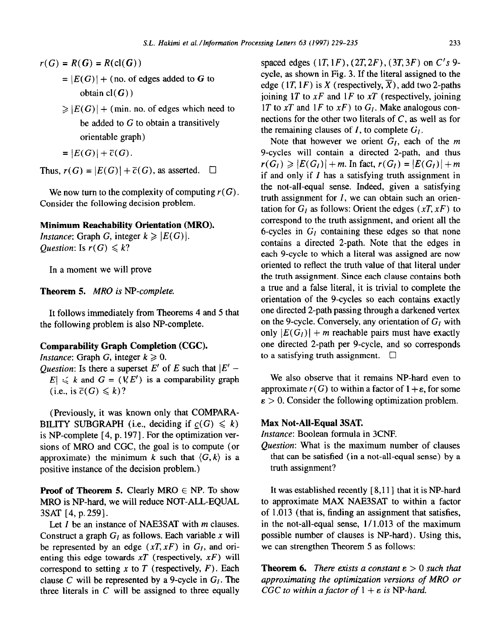- $r(G) = R(G) = R(\text{cl}(G))$ 
	- $= |E(G)| +$  (no. of edges added to G to obtain  $cl(G)$ )
	- $\geqslant |E(G)| +$  (min. no. of edges which need to be added to  $G$  to obtain a transitively orientable graph)

$$
= |E(G)| + \overline{c}(G).
$$

Thus,  $r(G) = |E(G)| + \overline{c}(G)$ , as asserted.  $\Box$ 

We now turn to the complexity of computing  $r(G)$ . Consider the following decision problem.

## **Minimum Reachability Orientation (MRO).**

*Instance:* Graph G, integer  $k \geq |E(G)|$ . *Question:* Is  $r(G) \leq k$ ?

In a moment we will prove

**Theorem 5.** *MRO is NP-complete.* 

It follows immediately from Theorems 4 and 5 that the following problem is also NP-complete.

# **Comparability Graph Completion (CGC).**

*Instance:* Graph G, integer  $k \geq 0$ .

*Question:* Is there a superset  $E'$  of  $E$  such that  $|E' |E| \le k$  and  $G = (V, E')$  is a comparability graph (i.e., is  $\overline{c}(G) \leq k$ )?

(Previously, it was known only that COMPARA-BILITY SUBGRAPH (i.e., deciding if  $c(G) \le k$ ) is NP-complete [4, p. 197]. For the optimization versions of MRO and CGC, the goal is to compute (or approximate) the minimum *k* such that  $\langle G, k \rangle$  is a positive instance of the decision problem.)

**Proof of Theorem 5.** Clearly MRO  $\in$  NP. To show MRO is NP-hard, we will reduce NOT-ALL-EQUAL 3SAT [4, p. 259].

Let I be an instance of NAE3SAT with *m* clauses. Construct a graph  $G_l$  as follows. Each variable x will be represented by an edge  $(xT, xF)$  in  $G<sub>I</sub>$ , and orienting this edge towards *XT* (respectively, *xF)* will correspond to setting  $x$  to  $T$  (respectively,  $F$ ). Each clause C will be represented by a 9-cycle in  $G_l$ . The three literals in  $C$  will be assigned to three equally spaced edges  $(1T, 1F)$ ,  $(2T, 2F)$ ,  $(3T, 3F)$  on  $C's$  9cycle, as shown in Fig. 3. If the literal assigned to the edge (1*T*, 1*F*) is *X* (respectively,  $\overline{X}$ ), add two 2-paths joining 1T to  $xF$  and 1F to  $xT$  (respectively, joining 1T to  $xT$  and 1F to  $xF$ ) to  $G<sub>I</sub>$ . Make analogous connections for the other two literals of  $C$ , as well as for the remaining clauses of  $I$ , to complete  $G_I$ .

Note that however we orient  $G<sub>I</sub>$ , each of the  $m$ 9-cycles will contain a directed 2-path, and thus  $r(G_l) \geq |E(G_l)| + m$ . In fact,  $r(G_l) = |E(G_l)| + m$ if and only if  $I$  has a satisfying truth assignment in the not-all-equal sense. Indeed, given a satisfying truth assignment for  $I$ , we can obtain such an orientation for  $G<sub>I</sub>$  as follows: Orient the edges  $(xT, xF)$  to correspond to the truth assignment, and orient all the 6-cycles in  $G_l$  containing these edges so that none contains a directed 2-path. Note that the edges in each 9-cycle to which a literal was assigned are now oriented to reflect the truth value of that literal under the truth assignment. Since each clause contains both a true and a false literal, it is trivial to complete the orientation of the 9-cycles so each contains exactly one directed 2-path passing through a darkened vertex on the 9-cycle. Conversely, any orientation of  $G<sub>I</sub>$  with only  $|E(G_l)| + m$  reachable pairs must have exactly one directed 2-path per 9-cycle, and so corresponds to a satisfying truth assignment.  $\square$ 

We also observe that it remains NP-hard even to approximate  $r(G)$  to within a factor of  $1 + \varepsilon$ , for some  $\epsilon > 0$ . Consider the following optimization problem.

#### **Max Not-All-Equal 3SAT.**

*Instance:* Boolean formula in 3CNF.

*Question:* What is the maximum number of clauses that can be satisfied (in a not-all-equal sense) by a truth assignment?

It was established recently  $[8,11]$  that it is NP-hard to approximate MAX NAE3SAT to within a factor of 1 .013 (that is, finding an assignment that satisfies, in the not-all-equal sense,  $1/1.013$  of the maximum possible number of clauses is NP-hard). Using this, we can strengthen Theorem 5 as follows:

**Theorem 6.** *There exists a constant*  $\epsilon > 0$  *such that approximating the optimization versions of MRO or CGC to within a factor of*  $1 + \varepsilon$  *is NP-hard.*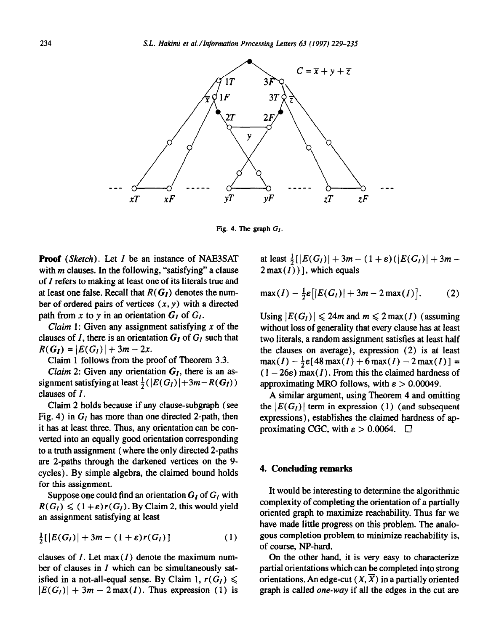

Fig. 4. The graph  $G<sub>I</sub>$ .

**Proof (Sketch).** Let I be an instance of NAE3SAT with *m* clauses. In the following, "satisfying" a clause of I refers to making at least one of its literals true and at least one false. Recall that  $R(G<sub>I</sub>)$  denotes the number of ordered pairs of vertices  $(x, y)$  with a directed path from x to y in an orientation  $G_I$  of  $G_I$ .

Claim 1: Given any assignment satisfying  $x$  of the clauses of I, there is an orientation  $G_I$  of  $G_I$  such that  $R(G_I) = |E(G_I)| + 3m - 2x.$ 

Claim 1 follows from the proof of Theorem 3.3.

*Claim* 2: Given any orientation  $G_I$ , there is an assignment satisfying at least  $\frac{1}{2}(|E(G_I)|+3m-R(G_I))$ clauses of I.

Claim 2 holds because if any clause-subgraph (see Fig. 4) in  $G_l$  has more than one directed 2-path, then it has at least three. Thus, any orientation can be converted into an equally good orientation corresponding to a truth assignment (where the only directed 2-paths are 2-paths through the darkened vertices on the 9 cycles). By simple algebra, the claimed bound holds for this assignment.

Suppose one could find an orientation  $G_i$  of  $G_i$  with  $R(G_i) \leq (1+\varepsilon)r(G_i)$ . By Claim 2, this would yield an assignment satisfying at least

$$
\frac{1}{2}[\left|E(G_I)\right|+3m-(1+\varepsilon)r(G_I)]\tag{1}
$$

clauses of  $I$ . Let  $max(I)$  denote the maximum number of clauses in I which can be simultaneously satisfied in a not-all-equal sense. By Claim 1,  $r(G_1) \leq$  $|E(G_I)| + 3m - 2\max(I)$ . Thus expression (1) is at least  $\frac{1}{2}$ [ $|E(G_l)|+3m-(1+\varepsilon)(|E(G_l)|+3m 2\max(\overline{I})$ ], which equals

$$
\max(I) - \frac{1}{2}\varepsilon\big[|E(G_I)| + 3m - 2\max(I)\big].\tag{2}
$$

Using  $|E(G_l)| \le 24m$  and  $m \le 2 \max(I)$  (assuming without loss of generality that every clause has at least two literals, a random assignment satisfies at least half the clauses on average), expression (2) is at least  $max(I) - \frac{1}{2}\epsilon[48max(I) + 6max(I) - 2max(I)] =$  $(1 - 26\varepsilon)$  max(*I*). From this the claimed hardness of approximating MRO follows, with  $\varepsilon > 0.00049$ .

A similar argument, using Theorem 4 and omitting the  $|E(G_I)|$  term in expression (1) (and subsequent expressions), establishes the claimed hardness of approximating CGC, with  $\varepsilon > 0.0064$ .  $\Box$ 

## 4. **Concluding remarks**

It would be interesting to determine the algorithmic complexity of completing the orientation of a partially oriented graph to maximize reachability. Thus far we have made little progress on this problem. The analogous completion problem to minimize reachability is, of course, NP-hard.

On the other hand, it is very easy to characterize partial orientations which can be completed into strong orientations. An edge-cut  $(X, \overline{X})$  in a partially oriented graph is called one-way if all the edges in the cut are